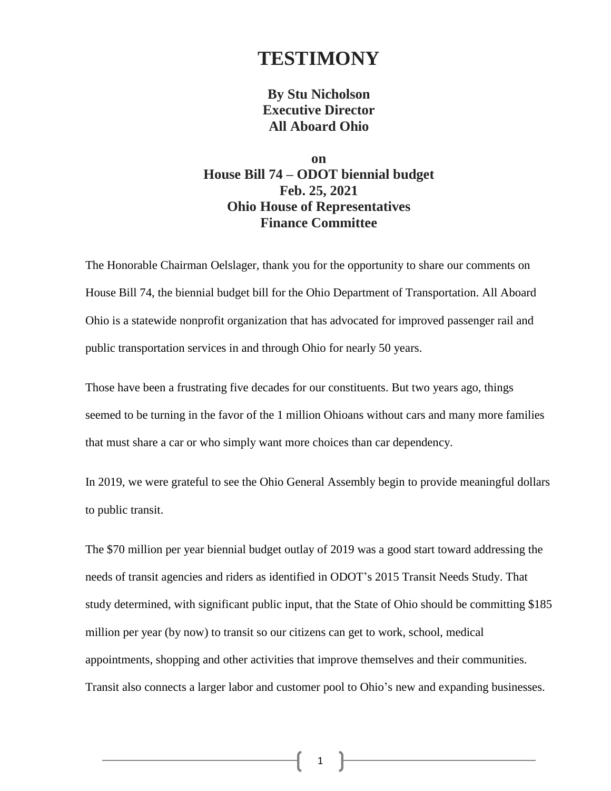## **TESTIMONY**

## **By Stu Nicholson Executive Director All Aboard Ohio**

## **on House Bill 74 – ODOT biennial budget Feb. 25, 2021 Ohio House of Representatives Finance Committee**

The Honorable Chairman Oelslager, thank you for the opportunity to share our comments on House Bill 74, the biennial budget bill for the Ohio Department of Transportation. All Aboard Ohio is a statewide nonprofit organization that has advocated for improved passenger rail and public transportation services in and through Ohio for nearly 50 years.

Those have been a frustrating five decades for our constituents. But two years ago, things seemed to be turning in the favor of the 1 million Ohioans without cars and many more families that must share a car or who simply want more choices than car dependency.

In 2019, we were grateful to see the Ohio General Assembly begin to provide meaningful dollars to public transit.

The \$70 million per year biennial budget outlay of 2019 was a good start toward addressing the needs of transit agencies and riders as identified in ODOT's 2015 Transit Needs Study. That study determined, with significant public input, that the State of Ohio should be committing \$185 million per year (by now) to transit so our citizens can get to work, school, medical appointments, shopping and other activities that improve themselves and their communities. Transit also connects a larger labor and customer pool to Ohio's new and expanding businesses.

1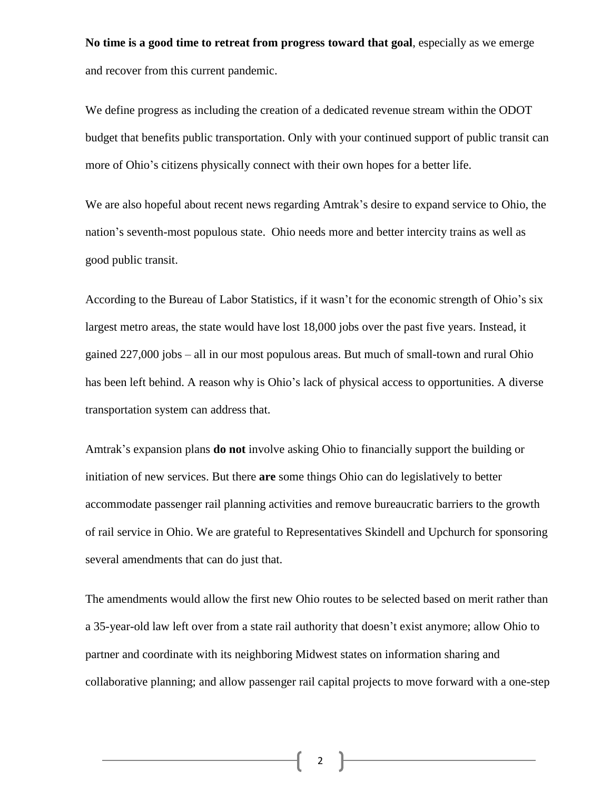**No time is a good time to retreat from progress toward that goal**, especially as we emerge and recover from this current pandemic.

We define progress as including the creation of a dedicated revenue stream within the ODOT budget that benefits public transportation. Only with your continued support of public transit can more of Ohio's citizens physically connect with their own hopes for a better life.

We are also hopeful about recent news regarding Amtrak's desire to expand service to Ohio, the nation's seventh-most populous state. Ohio needs more and better intercity trains as well as good public transit.

According to the Bureau of Labor Statistics, if it wasn't for the economic strength of Ohio's six largest metro areas, the state would have lost 18,000 jobs over the past five years. Instead, it gained 227,000 jobs – all in our most populous areas. But much of small-town and rural Ohio has been left behind. A reason why is Ohio's lack of physical access to opportunities. A diverse transportation system can address that.

Amtrak's expansion plans **do not** involve asking Ohio to financially support the building or initiation of new services. But there **are** some things Ohio can do legislatively to better accommodate passenger rail planning activities and remove bureaucratic barriers to the growth of rail service in Ohio. We are grateful to Representatives Skindell and Upchurch for sponsoring several amendments that can do just that.

The amendments would allow the first new Ohio routes to be selected based on merit rather than a 35-year-old law left over from a state rail authority that doesn't exist anymore; allow Ohio to partner and coordinate with its neighboring Midwest states on information sharing and collaborative planning; and allow passenger rail capital projects to move forward with a one-step

2